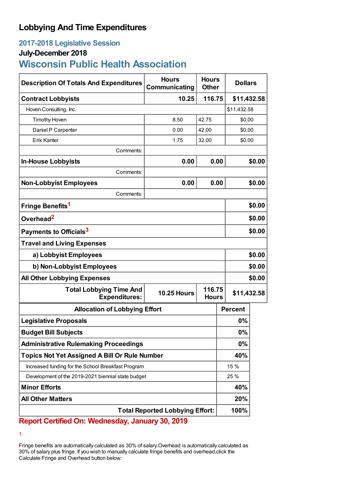## **Lobbying And Time Expenditures**

## **2017-2018 Legislative Session**

### **July-December 2018**

# **Wisconsin Public Health Association**

| <b>Description Of Totals And Expenditures</b>          | <b>Hours</b><br>Communicating | <b>Hours</b><br><b>Other</b> | <b>Dollars</b> |             |  |
|--------------------------------------------------------|-------------------------------|------------------------------|----------------|-------------|--|
| <b>Contract Lobbyists</b>                              | 116.75<br>10.25               |                              |                | \$11,432.58 |  |
| Hoven Consulting, Inc.                                 |                               |                              |                | \$11,432.58 |  |
| <b>Timothy Hoven</b>                                   | 8.50                          | 42.75                        |                | \$0.00      |  |
| Daniel P Carpenter                                     | 0.00                          | 42.00                        |                | \$0.00      |  |
| Erik Kanter                                            | 1.75                          | 32.00                        |                | \$0.00      |  |
| Comments:                                              |                               |                              |                |             |  |
| <b>In-House Lobbyists</b>                              | 0.00                          | 0.00                         |                | \$0.00      |  |
| Comments:                                              |                               |                              |                |             |  |
| <b>Non-Lobbyist Employees</b>                          | 0.00                          | 0.00                         |                | \$0.00      |  |
| Comments:                                              |                               |                              |                |             |  |
| Fringe Benefits <sup>1</sup>                           |                               |                              |                | \$0.00      |  |
| Overhead <sup>2</sup>                                  |                               |                              |                | \$0.00      |  |
| Payments to Officials <sup>3</sup>                     |                               |                              |                | \$0.00      |  |
| <b>Travel and Living Expenses</b>                      |                               |                              |                |             |  |
| a) Lobbyist Employees                                  |                               |                              |                | \$0.00      |  |
| b) Non-Lobbyist Employees                              |                               |                              |                | \$0.00      |  |
| <b>All Other Lobbying Expenses</b>                     |                               |                              |                | \$0.00      |  |
| <b>Total Lobbying Time And</b><br><b>Expenditures:</b> | <b>10.25 Hours</b>            | 116.75<br><b>Hours</b>       | \$11,432.58    |             |  |
| <b>Allocation of Lobbying Effort</b>                   |                               |                              | <b>Percent</b> |             |  |
| <b>Legislative Proposals</b>                           |                               |                              | 0%             |             |  |
| <b>Budget Bill Subjects</b>                            |                               |                              | 0%             |             |  |
| <b>Administrative Rulemaking Proceedings</b>           |                               |                              | 0%             |             |  |
| <b>Topics Not Yet Assigned A Bill Or Rule Number</b>   |                               |                              | 40%            |             |  |
| Increased funding for the School Breakfast Program     |                               |                              | 15 %           |             |  |
| Development of the 2019-2021 biennial state budget     |                               |                              | 25 %           |             |  |
| <b>Minor Efforts</b>                                   |                               |                              | 40%            |             |  |
| <b>All Other Matters</b>                               |                               |                              | 20%            |             |  |
| <b>Total Reported Lobbying Effort:</b>                 |                               |                              | 100%           |             |  |

## **Report Certified On: Wednesday, January 30, 2019**

1.

Fringe benefits are automatically calculated as 30% of salary.Overhead is automatically calculated as 30% of salary plus fringe. If you wish to manually calculate fringe benefits and overhead,click the Calculate Fringe and Overhead button below: